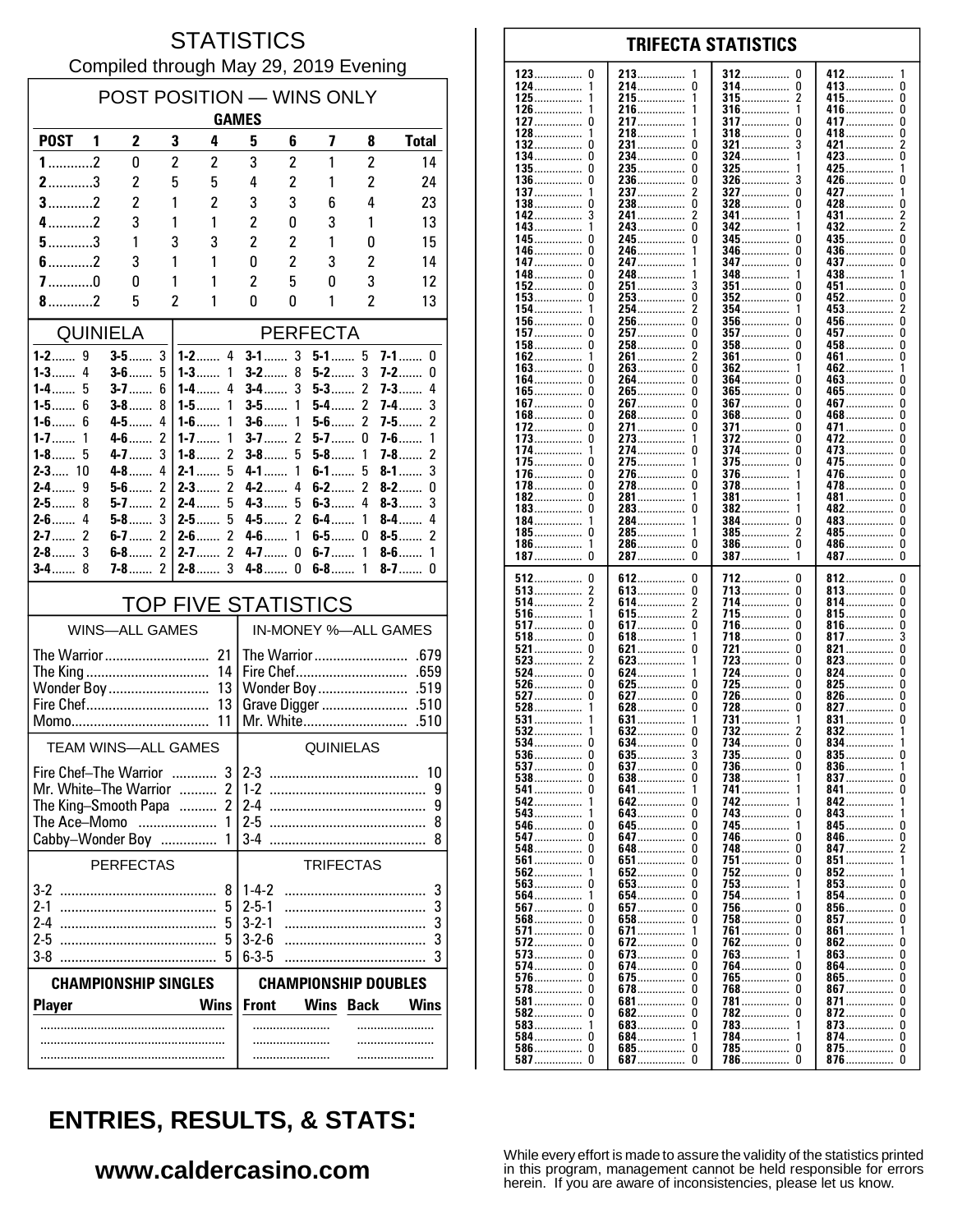#### **STATISTICS** Compiled through May 29, 2019 Evening

| POST POSITION - WINS ONLY<br><b>GAMES</b>             |                             |                                  |                                                        |                             |                |                |                         |                            |  |
|-------------------------------------------------------|-----------------------------|----------------------------------|--------------------------------------------------------|-----------------------------|----------------|----------------|-------------------------|----------------------------|--|
| <b>POST</b>                                           | 1<br>2                      | 3                                | 4                                                      | 5                           | 6              | 7              | 8                       | <b>Total</b>               |  |
| $1$ 2                                                 | 0                           | $\overline{c}$                   | 2                                                      | 3                           | $\overline{2}$ | 1              | $\overline{c}$          | 14                         |  |
| $2$ 3                                                 | 2                           | 5                                | 5                                                      | 4                           | $\overline{c}$ | 1              | 2                       | 24                         |  |
| $3$ 2                                                 | $\overline{c}$              | 1                                | $\overline{c}$                                         | 3                           | 3              | 6              | 4                       | 23                         |  |
| $4$ 2                                                 | 3                           | 1                                | 1                                                      | $\overline{c}$              | 0              | 3              | 1                       | 13                         |  |
| $5$ 3                                                 | 1                           | 3                                | 3                                                      | $\overline{c}$              | 2              | 1              | 0                       | 15                         |  |
| $6$ 2                                                 | 3                           | 1                                | 1                                                      | 0                           | 2              | 3              | 2                       | 14                         |  |
| $7$ 0                                                 | 0                           | 1                                | 1                                                      | 2                           | 5              | 0              | 3                       | 12                         |  |
| $8$ 2                                                 | 5                           | $\overline{c}$                   | 1                                                      | 0                           | 0              | 1              | $\overline{\mathbf{c}}$ | 13                         |  |
|                                                       | <b>PERFECTA</b><br>QUINIELA |                                  |                                                        |                             |                |                |                         |                            |  |
| $1-2$<br>9                                            | $3-5$                       | 3                                |                                                        | $3-1$                       | 3              | $5 - 1$ 5      |                         | $7 - 1$ 0                  |  |
| $1 - 3$<br>4<br>$1-4$<br>5                            | $3-6$<br>$3-7$              | 5<br>6                           | $1 - 3$<br>1<br>4<br>$1 - 4$                           | $3-2$<br>$3-4$              | 8<br>3         | $5-2$<br>$5-3$ | 3<br>2                  | $7-2$<br>0<br>$7 - 3$<br>4 |  |
| 1-5 $\dots$<br>6                                      | $3-8$                       | 8                                | 1<br>$1-5$                                             | $3-5$                       | 1              | $5-4$          | 2                       | 3<br>7-4……                 |  |
| $1-6$<br>6                                            | $4 - 5$                     | 4                                | $1-6$<br>1                                             | $3-6$                       | 1              | $5-6$          | $\mathfrak z$           | 2<br>$7-5$                 |  |
| $1 - 7$<br>1                                          | $4 - 6$                     | $\overline{2}$                   | $1 - 7$<br>1                                           | $3 - 7$                     | 2              | $5-7$          | 0                       | $7-6$<br>1                 |  |
| $1-8$<br>5<br>$2 - 3$ 10                              | $4 - 7$<br>$4-8$            | 3<br>4                           | $1-8$<br>2<br>$2-1$<br>5                               | $3-8$<br>$4 - 1$            | 5<br>1         | $5-8$<br>$6-1$ | 1<br>5                  | 2<br>7-8……<br>3<br>$8-1$   |  |
| $2 - 4$<br>9                                          | $5-6$                       | $\overline{c}$                   | $\mathfrak z$<br>$2-3$                                 | $4-2$                       | 4              | $6-2$          | 2                       | $8-2$<br>0                 |  |
| $2-5$<br>8                                            | $5-7$                       | $\overline{2}$                   | $2 - 4$<br>5                                           | $4 - 3$                     | 5              | $6 - 3$        | 4                       | $8 - 3$<br>3               |  |
| $2-6$<br>4                                            | $5-8$                       | 3                                | $2-5$<br>5                                             | $4-5$                       | 2              | $6-4$          | 1                       | $8-4$<br>4                 |  |
| $\mathcal{P}$<br>$2 - 7$<br>3<br>$2-8$                | $6-7$<br>$6-8$              | $\overline{2}$<br>$\overline{2}$ | $\overline{2}$<br>$2 - 6$<br>$\overline{c}$<br>$2 - 7$ | $4 - 6$<br>$4 - 7$          | 1<br>0         | $6-5$<br>$6-7$ | 0<br>1                  | 2<br>$8-5$<br>$8-6$<br>1   |  |
| $3-4$<br>8                                            | <b>7-8</b>                  | 2                                | 3<br>$2-8$                                             | $4-8$                       | 0              | $6-8$          | 1                       | $8-7$<br>0                 |  |
|                                                       |                             |                                  | TOP FIVE STATISTICS                                    |                             |                |                |                         |                            |  |
|                                                       | <b>WINS-ALL GAMES</b>       |                                  |                                                        |                             |                |                |                         | IN-MONEY %-ALL GAMES       |  |
| The Warrior                                           |                             |                                  | 21                                                     |                             |                | The Warrior    |                         | .679                       |  |
| The King                                              |                             |                                  | 14                                                     |                             |                | Fire Chef      |                         | .659                       |  |
| 13<br>Wonder Boy                                      |                             |                                  |                                                        |                             |                | Wonder Boy     |                         | .519                       |  |
| Fire Chef<br>13<br>11<br>.510<br>Mr. White            |                             |                                  |                                                        |                             |                |                |                         |                            |  |
| TEAM WINS-ALL GAMES                                   |                             |                                  |                                                        | QUINIELAS                   |                |                |                         |                            |  |
| 3 <sup>1</sup><br>$2 - 3$<br>Fire Chef-The Warrior    |                             |                                  |                                                        |                             |                | 10             |                         |                            |  |
| Mr. White-The Warrior<br>$\overline{2}$               |                             |                                  |                                                        | $1-2$<br>9                  |                |                |                         |                            |  |
| $\overline{2}$<br>The King-Smooth Papa                |                             |                                  |                                                        | 24<br>9                     |                |                |                         |                            |  |
| The Ace-Momo                                          |                             |                                  | 1                                                      | $2-5$                       |                |                |                         | 8                          |  |
| Cabby-Wonder Boy<br>1<br>3-4<br>8<br><b>TRIFECTAS</b> |                             |                                  |                                                        |                             |                |                |                         |                            |  |
| PERFECTAS                                             |                             |                                  |                                                        |                             |                |                |                         |                            |  |
| 3-2<br>$2 - 1$                                        |                             |                                  | 8<br>5                                                 | $1-4-2$<br>$2 - 5 - 1$      |                |                |                         | 3<br>3                     |  |
| $2-4$                                                 |                             |                                  | 5                                                      | $3 - 2 - 1$                 |                |                |                         | 3                          |  |
| 25                                                    |                             |                                  | 5                                                      | $3 - 2 - 6$                 |                |                |                         | 3                          |  |
| $6 - 3 - 5$<br>$3-8$<br>5<br>3                        |                             |                                  |                                                        |                             |                |                |                         |                            |  |
|                                                       | <b>CHAMPIONSHIP SINGLES</b> |                                  |                                                        | <b>CHAMPIONSHIP DOUBLES</b> |                |                |                         |                            |  |
| <b>Player</b>                                         |                             |                                  | <b>Wins</b>                                            | <b>Front</b>                |                | <b>Wins</b>    | <b>Back</b>             | Wins                       |  |
|                                                       |                             |                                  |                                                        |                             |                |                |                         |                            |  |
|                                                       |                             |                                  |                                                        |                             |                |                |                         |                            |  |

| 123          | 213               | $312$       | 412……………      |
|--------------|-------------------|-------------|---------------|
| 0            | 1                 | 0           | 1             |
| 124          | 214……………          | 314         | 413……………<br>0 |
|              |                   |             |               |
| $125$        | 215               | $315$<br>2  | 415<br>0      |
| 126          | 216               | $316$<br>1  | 416……………<br>0 |
| 127 0        | 1                 | 317<br>0    | 0             |
|              | 217               |             | 417           |
| 128……………     | 218               | $318$       | 418……………      |
| 1            | 1                 | 0           | 0             |
| 132          | 231               | 321         | 421           |
| 0            | 0                 |             | 2             |
| 0            | 0                 | 1           | 0             |
| 134……………     | 234               | 324         | 423……………      |
|              | <b>235</b><br>0   | $325$       | 425           |
|              | 236               | $326$       | 426……………      |
|              | 0                 | 3           | 0             |
|              |                   |             |               |
| 137          | 237……………          | 327<br>0    | 427           |
| $138$        | 238               | $328$       | 428           |
| 0            | 0                 | 0           | 0             |
| 142          | 241……………          | 341         | 431           |
| 3            |                   | 1           | 2             |
|              |                   |             |               |
| 143          | 243               | 342         | 432           |
| 1            | 0                 | 1           | 2             |
| 145……………     | 245……………          | <b>345</b>  | 435……………      |
| 0            | 0                 | 0           | 0             |
| 146……………     | 246……………          | 346         | 436           |
| 0            |                   | 0           | 0             |
|              |                   |             |               |
| 147……………     | 247               | <b>347</b>  | 437           |
| 0            | 1                 | 0           | 0             |
| 148 0        | 248               | 348         | 438           |
|              | 1                 | 1           | 1             |
| 0            | 251               | 0           | 0             |
| 152          |                   | <b>351</b>  | 451           |
| 153……………     | 253               | 352         | 452           |
| 0            | 0                 | 0           | 0             |
| 154……………     | 254               | 354         | 453           |
| 1            |                   | 1           | 2             |
| 156          | 256……………          | 356         | 456           |
| 0            |                   | 0           | 0             |
|              |                   |             |               |
| 157          | <b>257</b>        | $357$       | 457           |
| 0            | 0                 | 0           | 0             |
| 158……………     | 258……………          | 358……………    | 458……………      |
| 0            | 0                 | 0           | 0             |
| 162          | 261……………          | 361         | 461           |
| 1            |                   | 0           | 0             |
|              |                   |             |               |
| 163<br>0     | 263……………          | 362         | 462           |
| 164……………     | 264               | 364……………    | 463           |
| 0            | 0                 | 0           | 0             |
| 165…………… 0   | 265               | <b>365</b>  | 465           |
|              | 0                 | 0           | 0             |
|              |                   |             |               |
| 167……………     | <b>267</b>        | <b>367</b>  | 467           |
| 0            |                   | 0           | 0             |
| 168          | 268……………          | $368$<br>0  | 468<br>0      |
| 172          | 271               | 371         | 471           |
| 0            | 0                 | 0           | 0             |
| 173          | 273               | 372         | 472           |
| 0            |                   | 0           | 0             |
|              |                   |             |               |
| 174          | 274               | 374         | 473           |
| 1            | 0                 | 0           | 0             |
| 175……………     | 275               | 375         | 475           |
| 0            |                   | 0           | 0             |
| 176……………     | 276               | 376         | 476……………      |
| 0            | 0                 | 1           | 0             |
| 178 0        | 278……………          | 378         | 478           |
|              | 0                 | 1           | 0             |
|              |                   |             |               |
|              | 281               | 381         | 481           |
|              | 1                 | 1           | 0             |
| 183          | 283               | 382         | 482           |
| 0            | 0                 |             | 0             |
| 184          | 284               | 384         | 483           |
| 1            | 1                 | 0           | 0             |
|              | 285               | $385$       | 485           |
|              | 1                 | 2           | 0             |
|              |                   |             |               |
| 186          | 286               | $386$       | 486           |
| 1            | 0                 | 0           | 0             |
| 187……………     | 287               | 387         | 487……………      |
| 0            | 0                 |             | 0             |
|              |                   |             |               |
|              |                   |             |               |
|              |                   |             |               |
| 512          | 612               | 712         | 812           |
| 0            | 0                 | 0           | 0             |
| $513$        | 613               | 713         | 813           |
| 2            | 0                 | 0           | 0             |
| 514          |                   | 714         | 814……………<br>0 |
| 1            | 614<br>2          | 715<br>0    | 0             |
| $516$        | 615               |             | 815           |
|              | 617               | 716         | 816           |
|              | 0                 | 0           | 0             |
| 518          | 618               | 718         | 817           |
| 0            | 1                 | 0           | 3             |
| 521          | 621               | <u>721 </u> | 821           |
| 0            | 0                 | 0           | 0             |
| 2            | 1                 | 0           | 823<br>0      |
| $523$        | 623               | 723         |               |
| 524 0        | 624               | 724         | 824           |
|              | 1                 | 0           | 0             |
|              | $625$             | 725         | 825           |
|              | 0                 | 0           | 0             |
| 527          | <b>627</b>        | 726         | 826           |
| 0            | 0                 | 0           | 0             |
| 1            | 0                 | 728<br>0    | 0             |
| 528          | 628               |             | 827           |
| $531$        | 631               | 731         | 831           |
|              | 1                 | 1           | 0             |
| 532          | 632               | 732         | 832<br>1      |
| 534          | 634               | 734         | 834           |
| 0            | 0                 | 0           | 1             |
| 536          | 635.              | 735.        | 835.          |
| O            |                   | n           | 0             |
|              | 0                 | 0           | 1             |
| <b>537</b> 0 | <b>637</b>        | 736         | 836           |
|              | 638               | 738         | 837           |
|              | 0                 | 1           | 0             |
| 541……………… 0  | 641               | 741         | 841           |
|              | 642<br>0          | 742<br>1    | 842           |
| <b>543</b>   | 643               | 743         | 843           |
| 1            | 0                 | U           | 1             |
|              |                   |             |               |
|              | 645……………          | 745         | 845……………<br>U |
|              | 647.              | 746         | 846……………      |
|              | 0                 | 0           | 0             |
|              | 648……………<br>0     | 748<br>0    | 847.          |
|              |                   | U           | $851$<br>1    |
|              | 651               | 751         |               |
| $562$        | $652$             | 752         | 852           |
| $563$        | $653$             | 753         | 853           |
| 0            | 0                 | 1           | 0             |
|              | 654<br>0          | 754<br>1    | 854……………      |
|              | 657               | 756         | 856           |
|              | 0                 | U           | U             |
|              |                   |             |               |
|              | $658$             | 758<br>U    | 857<br>U      |
| 571          | 671               | 761         | 861……………      |
| 0            | 1                 | 0           | 1             |
| <b>572</b> 0 | 672               | 762         | $862$         |
|              | 0                 | 0           | U             |
|              | <b>673</b>        | $763$       | $863$         |
|              | 0                 | 1           | U             |
|              |                   |             |               |
| <b>574</b> 0 | 674               | 764<br>U    | 864<br>U      |
| <b>576</b>   | <b>675</b>        | 765         | 865           |
| 0            | 0                 | 0           | 0             |
|              | 678               | 768         | 867           |
|              | 0                 | 0           | U             |
|              | 681               | 781         | 871           |
|              | 0                 | 0           | U             |
|              | 0                 |             |               |
|              | 682               | 782<br>0    | 872<br>U      |
| $583$        | 683               | 783         | 873           |
| 1            | 0                 |             | 0             |
| 584 0        | 684<br>1          | 784<br>1    | 874 0         |
|              | $685 \ldots$<br>0 | 785<br>U    |               |
| <b>587</b> 0 | <b>687</b><br>n   | 786<br>0    | 876……………… 0   |

**TRIFECTA STATISTICS** 

# **ENTRIES, RESULTS, & STATS:**

### www.caldercasino.com

While every effort is made to assure the validity of the statistics printed<br>in this program, management cannot be held responsible for errors<br>herein. If you are aware of inconsistencies, please let us know.